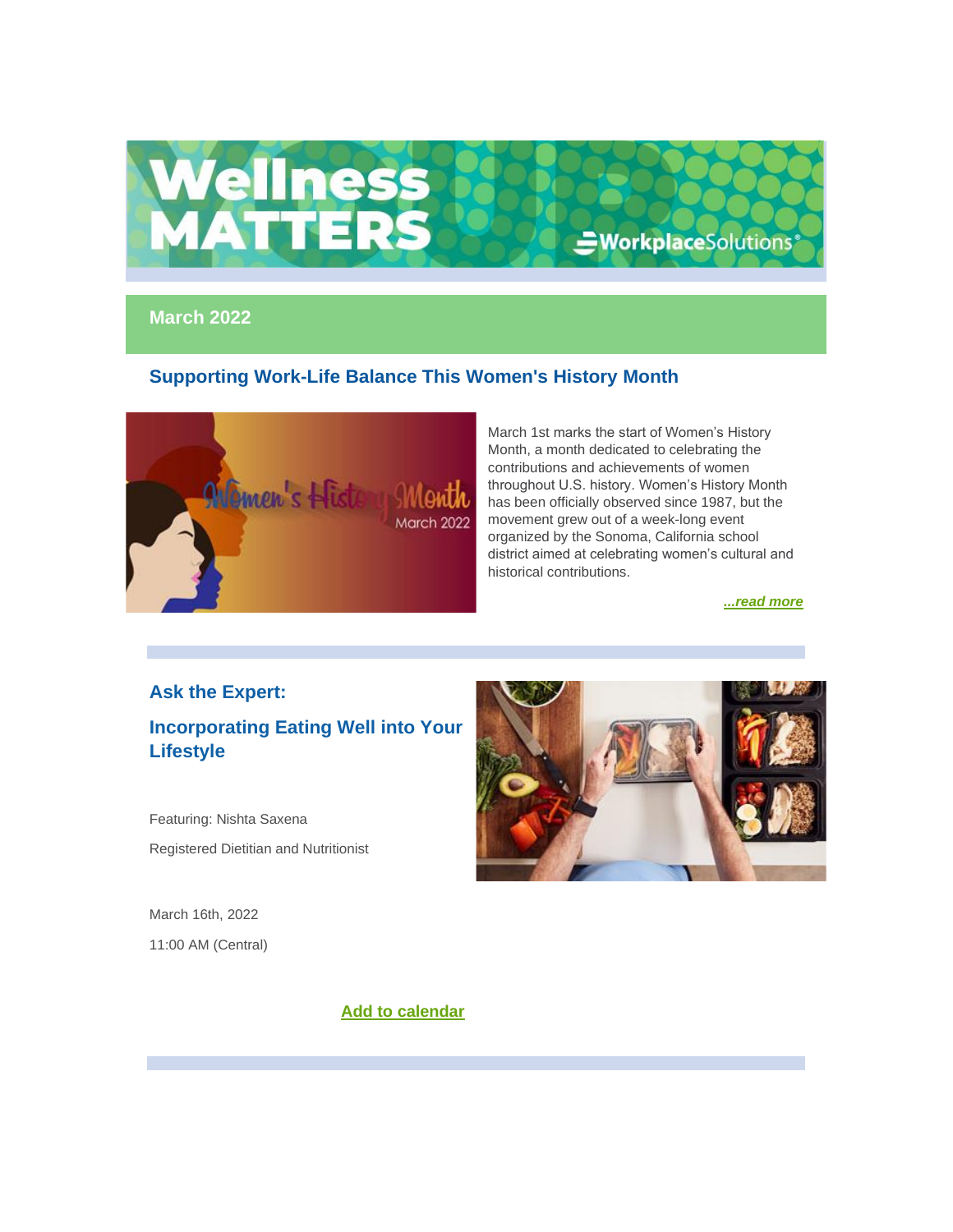

## **March 2022**

# **Supporting Work-Life Balance This Women's History Month**



March 1st marks the start of Women's History Month, a month dedicated to celebrating the contributions and achievements of women throughout U.S. history. Women's History Month has been officially observed since 1987, but the movement grew out of a week-long event organized by the Sonoma, California school district aimed at celebrating women's cultural and historical contributions.

*[...read more](https://nam12.safelinks.protection.outlook.com/?url=https%3A%2F%2Fr20.rs6.net%2Ftn.jsp%3Ff%3D001Mik91_mvLc0sZSOhueC7KLnY1ck_nwVmKok2Bq_TriUNL53VykSevFDbfrTgzIOugTerYfkXZtF2Z0k3Vr2x5yRNYj3tPE812E5t3pE5nTgKVUBYjQPR6TaiHvaccqIp2mdjBPpi8wHYb4rsACnOB4tGxCR6FX0pA-kw6h5fhsvMEZ6W06IrwOjjLKxnqYYHvzXMQrawUorUgBdGX9OWJwArr8dyoYho%26c%3DOL4SB_bmPO4K9vbPLDQMLNlhGG1FgsQbFn5dotnnKmGFBFUUcoFbXw%3D%3D%26ch%3D_Ku3P_2s4TDK-DaCmb_zqGkX0JaZnymd__cVDBvsLmS1_JWzwtRl2A%3D%3D&data=04%7C01%7Cehartman%40harpercollege.edu%7C4ddc399eba454171ee2b08d9fb94bfd1%7C41791c41ffcb45e49c1d11a6b502a6d7%7C0%7C0%7C637817438588243576%7CUnknown%7CTWFpbGZsb3d8eyJWIjoiMC4wLjAwMDAiLCJQIjoiV2luMzIiLCJBTiI6Ik1haWwiLCJXVCI6Mn0%3D%7C2000&sdata=VV8Lta0%2BZvcGFrqmA84hv1r5WEuljYUuxylT0DffBnA%3D&reserved=0)*

## **Ask the Expert:**

**Incorporating Eating Well into Your Lifestyle**

Featuring: Nishta Saxena Registered Dietitian and Nutritionist

March 16th, 2022 11:00 AM (Central)

**[Add to calendar](https://nam12.safelinks.protection.outlook.com/?url=https%3A%2F%2Fr20.rs6.net%2Ftn.jsp%3Ff%3D001Mik91_mvLc0sZSOhueC7KLnY1ck_nwVmKok2Bq_TriUNL53VykSevPzsGGufRuZbRp7b9mQCDMosMGYvm8imUjyxZrCIPdu_llq-QzQeURakfK3HULUX6QEyzrdfUmvHMbLQmdYZkGzQxV1-B0XGtu7D6YQ2pQ-88Dc6KWtWLfHpJFnuMvkb5FOGLIJyCh9XeyqvBOS2dSTd4MWG4JCX1gOQL69CjFxS-0RG5WrpXyM%3D%26c%3DOL4SB_bmPO4K9vbPLDQMLNlhGG1FgsQbFn5dotnnKmGFBFUUcoFbXw%3D%3D%26ch%3D_Ku3P_2s4TDK-DaCmb_zqGkX0JaZnymd__cVDBvsLmS1_JWzwtRl2A%3D%3D&data=04%7C01%7Cehartman%40harpercollege.edu%7C4ddc399eba454171ee2b08d9fb94bfd1%7C41791c41ffcb45e49c1d11a6b502a6d7%7C0%7C0%7C637817438588243576%7CUnknown%7CTWFpbGZsb3d8eyJWIjoiMC4wLjAwMDAiLCJQIjoiV2luMzIiLCJBTiI6Ik1haWwiLCJXVCI6Mn0%3D%7C2000&sdata=msnygsfPD7X%2Bm%2BikazqQKeAsGmgMDWzg46neZgfzoWw%3D&reserved=0)**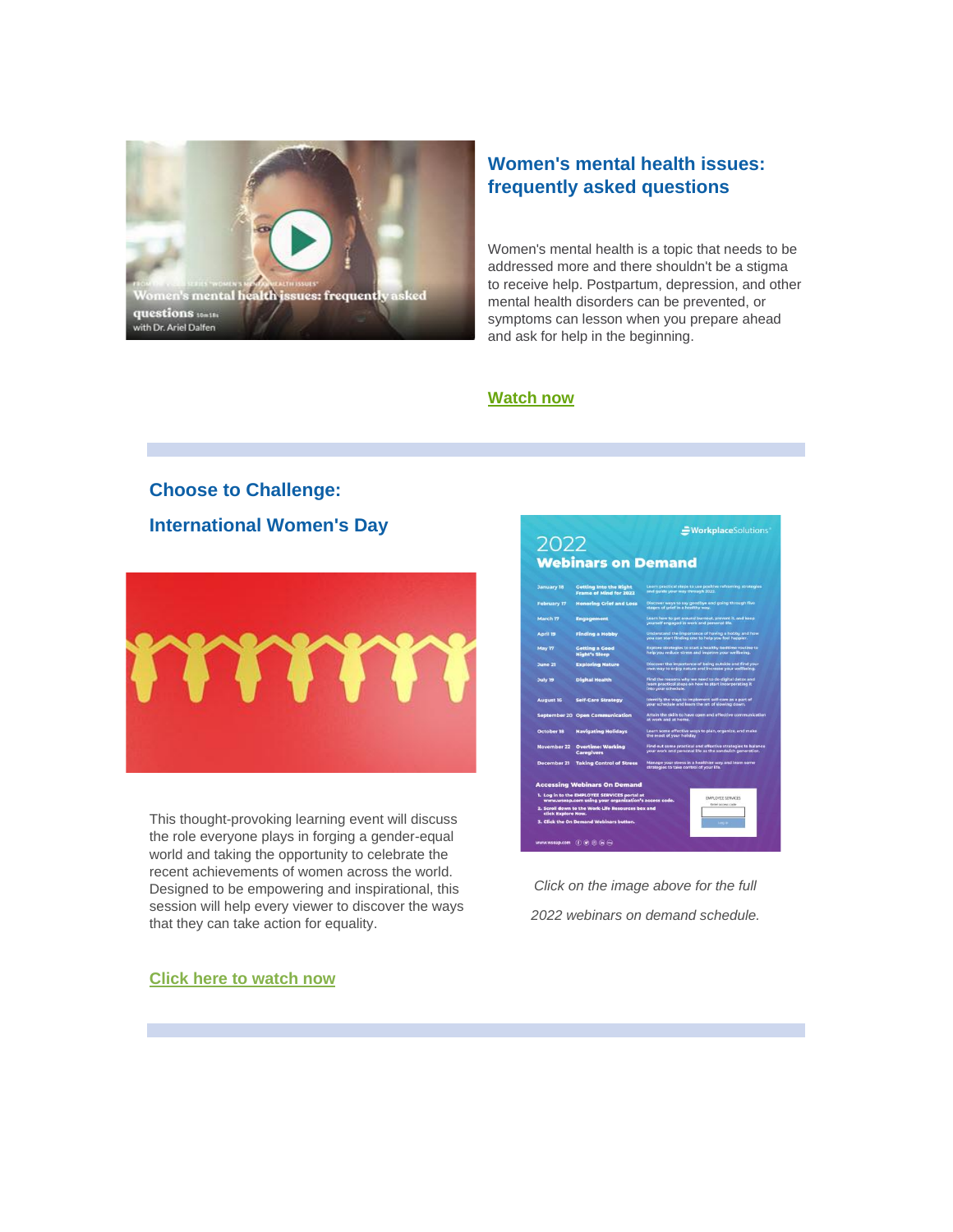

# **Women's mental health issues: frequently asked questions**

Women's mental health is a topic that needs to be addressed more and there shouldn't be a stigma to receive help. Postpartum, depression, and other mental health disorders can be prevented, or symptoms can lesson when you prepare ahead and ask for help in the beginning.

### **[Watch now](https://nam12.safelinks.protection.outlook.com/?url=https%3A%2F%2Fr20.rs6.net%2Ftn.jsp%3Ff%3D001Mik91_mvLc0sZSOhueC7KLnY1ck_nwVmKok2Bq_TriUNL53VykSevFDbfrTgzIOueESuWIwa7_VeOy3t_b0z5waVgQI1kqsUHpMThts96quYbMWbM5VyYBuRkbxXGYoWr3UrVBWwMSDS5UhmScchND6-G7ziKOuWUi4Jtz2ldals47JOwp0zY0bTCb6tUVdkdtQsdj-YFPLczihK4Dg2yhnGAyBjQeaO-aMPqkcG9QSmO11CRq7vAik3ifOmn3ozDcPCKZaGEoLNetgV3pL76ZRVf84sqQUD%26c%3DOL4SB_bmPO4K9vbPLDQMLNlhGG1FgsQbFn5dotnnKmGFBFUUcoFbXw%3D%3D%26ch%3D_Ku3P_2s4TDK-DaCmb_zqGkX0JaZnymd__cVDBvsLmS1_JWzwtRl2A%3D%3D&data=04%7C01%7Cehartman%40harpercollege.edu%7C4ddc399eba454171ee2b08d9fb94bfd1%7C41791c41ffcb45e49c1d11a6b502a6d7%7C0%7C0%7C637817438588243576%7CUnknown%7CTWFpbGZsb3d8eyJWIjoiMC4wLjAwMDAiLCJQIjoiV2luMzIiLCJBTiI6Ik1haWwiLCJXVCI6Mn0%3D%7C2000&sdata=nUg5NoAvqr3XP0ZGgdnzpx0KYlTEJi408VKSIcpSKQw%3D&reserved=0)**

# **Choose to Challenge: International Women's Day**



This thought-provoking learning event will discuss the role everyone plays in forging a gender-equal world and taking the opportunity to celebrate the recent achievements of women across the world. Designed to be empowering and inspirational, this session will help every viewer to discover the ways that they can take action for equality.

# =WorkplaceSolutions 2022 **Webinars on Demand Getting Into the Right** Learn p<br>**Frame of Mind for 2022** and gui ng Grief and L tting a Good<br>(ht's Sleep

*Click on the image above for the full 2022 webinars on demand schedule.*

#### **[Click here to watch now](https://nam12.safelinks.protection.outlook.com/?url=https%3A%2F%2Fr20.rs6.net%2Ftn.jsp%3Ff%3D001Mik91_mvLc0sZSOhueC7KLnY1ck_nwVmKok2Bq_TriUNL53VykSevFDbfrTgzIOu_arIGjutGfnh5QqyxR8LxQF62eYUJ04O84dMTqFWHwKZ5SFNASvwGz_FE8p9YA3fXSeyNwu625C0JJ_tY_JxyHAaRdj2CCGtkbO4UvCyKkryjZrY-4NYZEd_oYL_C-Q1T6kBkyMkDqnwLCvpHx7-IHSHrqc_Cn1WuKMzEq3iZQ9paqOvuKZS4DTtuSVZ8QHF5kYkeqk9sCkN8xIbu_OaOH5ErkAEP2Hu2Ttsk48XiEkmoL9d5g-Fv8wkGkAexDsMbwc3yQB39zU%3D%26c%3DOL4SB_bmPO4K9vbPLDQMLNlhGG1FgsQbFn5dotnnKmGFBFUUcoFbXw%3D%3D%26ch%3D_Ku3P_2s4TDK-DaCmb_zqGkX0JaZnymd__cVDBvsLmS1_JWzwtRl2A%3D%3D&data=04%7C01%7Cehartman%40harpercollege.edu%7C4ddc399eba454171ee2b08d9fb94bfd1%7C41791c41ffcb45e49c1d11a6b502a6d7%7C0%7C0%7C637817438588243576%7CUnknown%7CTWFpbGZsb3d8eyJWIjoiMC4wLjAwMDAiLCJQIjoiV2luMzIiLCJBTiI6Ik1haWwiLCJXVCI6Mn0%3D%7C2000&sdata=CHAGux6%2BmY347lQuluGdtGbpOqKxs3utB1bX8DtjaHA%3D&reserved=0)**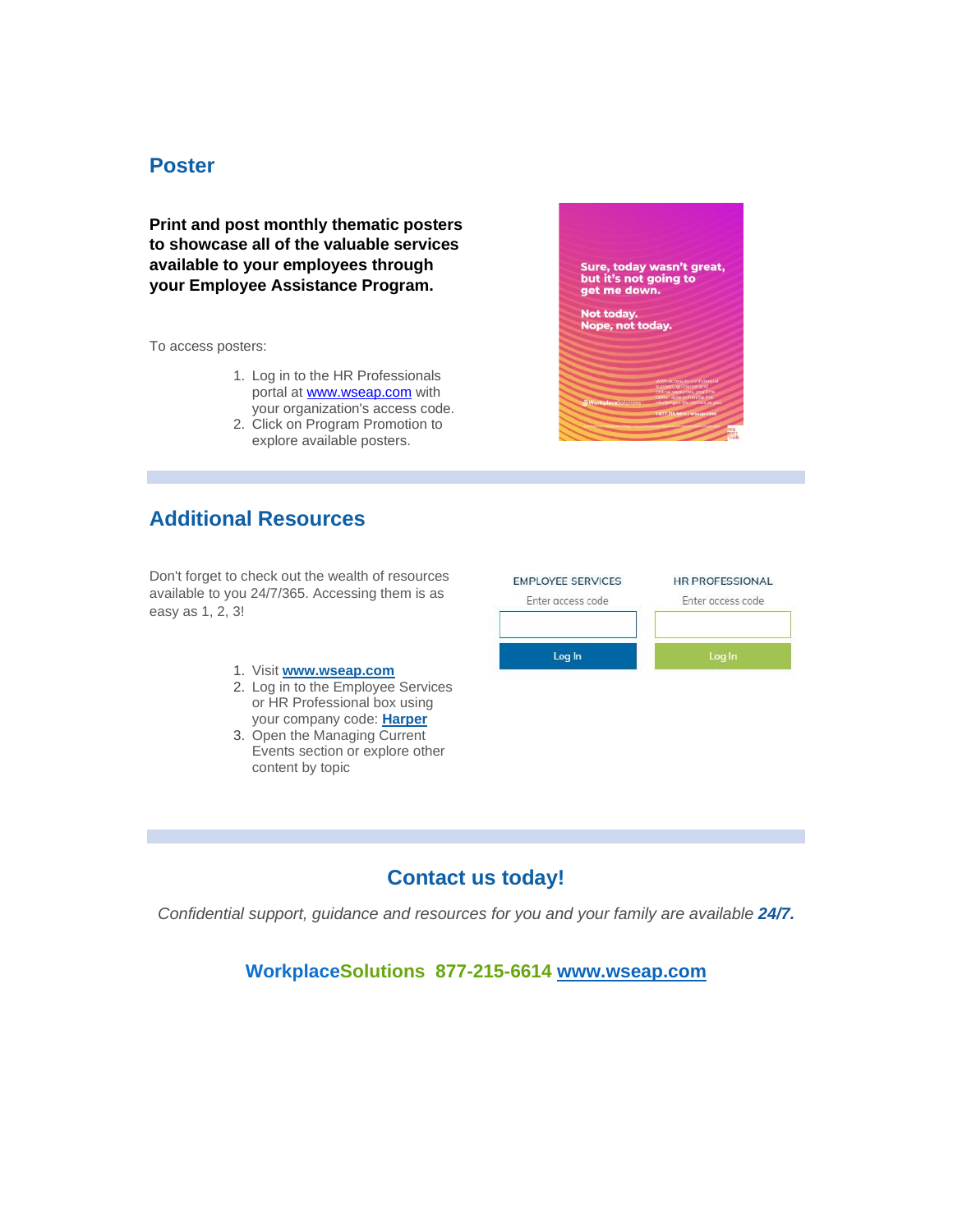# **Poster**

**Print and post monthly thematic posters to showcase all of the valuable services available to your employees through your Employee Assistance Program.**

To access posters:

- 1. Log in to the HR Professionals portal at [www.wseap.com](http://www.wseap.com/) with your organization's access code.
- 2. Click on Program Promotion to explore available posters.

# **Additional Resources**

Don't forget to check out the wealth of resources available to you 24/7/365. Accessing them is as easy as 1, 2, 3!

- 1. Visit **[www.wseap.com](https://nam12.safelinks.protection.outlook.com/?url=https%3A%2F%2Fr20.rs6.net%2Ftn.jsp%3Ff%3D001Mik91_mvLc0sZSOhueC7KLnY1ck_nwVmKok2Bq_TriUNL53VykSevHGorMuRZKFc6xwY3kQ8uk4sMv0hP-JN0y5MpgnQF4SqBx65DcLdraz6M10HBdVNN_VJF6Oh2ztouarB3zBodr4%3D%26c%3DOL4SB_bmPO4K9vbPLDQMLNlhGG1FgsQbFn5dotnnKmGFBFUUcoFbXw%3D%3D%26ch%3D_Ku3P_2s4TDK-DaCmb_zqGkX0JaZnymd__cVDBvsLmS1_JWzwtRl2A%3D%3D&data=04%7C01%7Cehartman%40harpercollege.edu%7C4ddc399eba454171ee2b08d9fb94bfd1%7C41791c41ffcb45e49c1d11a6b502a6d7%7C0%7C0%7C637817438588399810%7CUnknown%7CTWFpbGZsb3d8eyJWIjoiMC4wLjAwMDAiLCJQIjoiV2luMzIiLCJBTiI6Ik1haWwiLCJXVCI6Mn0%3D%7C2000&sdata=MnyOe2iEKS8WB6pWLT%2BzEyISTWfK%2B0CTrxulh8rw3fY%3D&reserved=0)**
- 2. Log in to the Employee Services or HR Professional box using your company code: **Harper**
- 3. Open the Managing Current Events section or explore other content by topic



Sure, today wasn't great,<br>but it's not going to

get me down. Not today.<br>Nope, not today.

# **Contact us today!**

*Confidential support, guidance and resources for you and your family are available 24/7.*

**WorkplaceSolutions 877-215-6614 [www.wseap.com](https://nam12.safelinks.protection.outlook.com/?url=https%3A%2F%2Fr20.rs6.net%2Ftn.jsp%3Ff%3D001Mik91_mvLc0sZSOhueC7KLnY1ck_nwVmKok2Bq_TriUNL53VykSevHGorMuRZKFc6xwY3kQ8uk4sMv0hP-JN0y5MpgnQF4SqBx65DcLdraz6M10HBdVNN_VJF6Oh2ztouarB3zBodr4%3D%26c%3DOL4SB_bmPO4K9vbPLDQMLNlhGG1FgsQbFn5dotnnKmGFBFUUcoFbXw%3D%3D%26ch%3D_Ku3P_2s4TDK-DaCmb_zqGkX0JaZnymd__cVDBvsLmS1_JWzwtRl2A%3D%3D&data=04%7C01%7Cehartman%40harpercollege.edu%7C4ddc399eba454171ee2b08d9fb94bfd1%7C41791c41ffcb45e49c1d11a6b502a6d7%7C0%7C0%7C637817438588399810%7CUnknown%7CTWFpbGZsb3d8eyJWIjoiMC4wLjAwMDAiLCJQIjoiV2luMzIiLCJBTiI6Ik1haWwiLCJXVCI6Mn0%3D%7C2000&sdata=MnyOe2iEKS8WB6pWLT%2BzEyISTWfK%2B0CTrxulh8rw3fY%3D&reserved=0)**